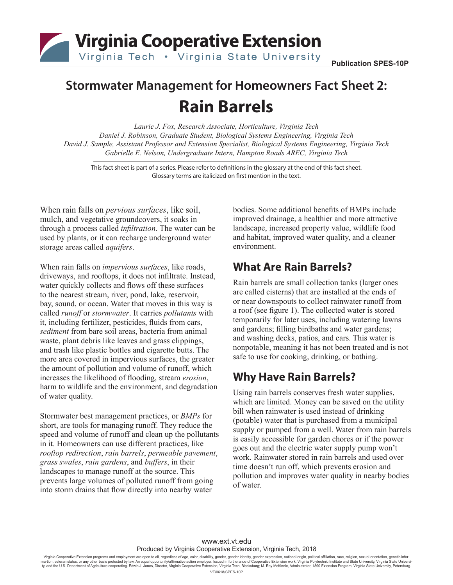Virginia Cooperative Extension

# **Stormwater Management for Homeowners Fact Sheet 2: Rain Barrels**

*Laurie J. Fox, Research Associate, Horticulture, Virginia Tech Daniel J. Robinson, Graduate Student, Biological Systems Engineering, Virginia Tech David J. Sample, Assistant Professor and Extension Specialist, Biological Systems Engineering, Virginia Tech Gabrielle E. Nelson, Undergraduate Intern, Hampton Roads AREC, Virginia Tech*

This fact sheet is part of a series. Please refer to definitions in the glossary at the end of this fact sheet. Glossary terms are italicized on first mention in the text.

When rain falls on *pervious surfaces*, like soil, mulch, and vegetative groundcovers, it soaks in through a process called *infiltration*. The water can be used by plants, or it can recharge underground water storage areas called *aquifers*.

When rain falls on *impervious surfaces*, like roads, driveways, and rooftops, it does not infiltrate. Instead, water quickly collects and flows off these surfaces to the nearest stream, river, pond, lake, reservoir, bay, sound, or ocean. Water that moves in this way is called *runoff* or *stormwater*. It carries *pollutants* with it, including fertilizer, pesticides, fluids from cars, *sediment* from bare soil areas, bacteria from animal waste, plant debris like leaves and grass clippings, and trash like plastic bottles and cigarette butts. The more area covered in impervious surfaces, the greater the amount of pollution and volume of runoff, which increases the likelihood of flooding, stream *erosion*, harm to wildlife and the environment, and degradation of water quality.

Stormwater best management practices, or *BMPs* for short, are tools for managing runoff. They reduce the speed and volume of runoff and clean up the pollutants in it. Homeowners can use different practices, like *rooftop redirection*, *rain barrels*, *permeable pavement*, *grass swales*, *rain gardens*, and *buffers*, in their landscapes to manage runoff at the source. This prevents large volumes of polluted runoff from going into storm drains that flow directly into nearby water

bodies. Some additional benefits of BMPs include improved drainage, a healthier and more attractive landscape, increased property value, wildlife food and habitat, improved water quality, and a cleaner environment.

### **What Are Rain Barrels?**

Rain barrels are small collection tanks (larger ones are called cisterns) that are installed at the ends of or near downspouts to collect rainwater runoff from a roof (see figure 1). The collected water is stored temporarily for later uses, including watering lawns and gardens; filling birdbaths and water gardens; and washing decks, patios, and cars. This water is nonpotable, meaning it has not been treated and is not safe to use for cooking, drinking, or bathing.

### **Why Have Rain Barrels?**

Using rain barrels conserves fresh water supplies, which are limited. Money can be saved on the utility bill when rainwater is used instead of drinking (potable) water that is purchased from a municipal supply or pumped from a well. Water from rain barrels is easily accessible for garden chores or if the power goes out and the electric water supply pump won't work. Rainwater stored in rain barrels and used over time doesn't run off, which prevents erosion and pollution and improves water quality in nearby bodies of water.

### www.ext.vt.edu Produced by Virginia Cooperative Extension, Virginia Tech, 2018

Virginia Cooperative Extension programs and employment are open to all, regardless of age, color, disability, gender, gender identijx, gender spression, national origin, political affiliation, race, religion, sexual orie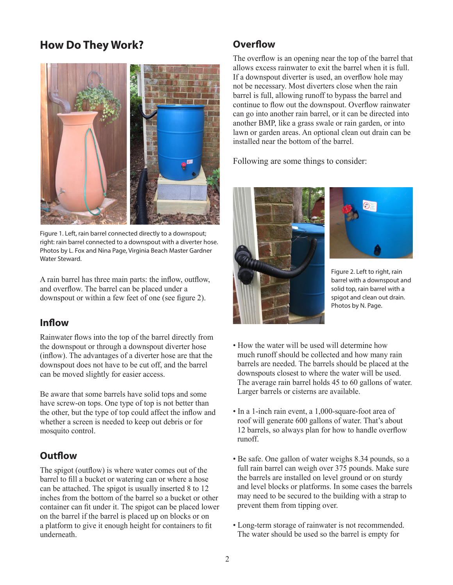## **How Do They Work? CONFILLER UP:** Overflow



Figure 1. Left, rain barrel connected directly to a downspout; right: rain barrel connected to a downspout with a diverter hose. Photos by L. Fox and Nina Page, Virginia Beach Master Gardner Water Steward.

A rain barrel has three main parts: the inflow, outflow, and overflow. The barrel can be placed under a downspout or within a few feet of one (see figure 2).

### **Inflow**

Rainwater flows into the top of the barrel directly from the downspout or through a downspout diverter hose (inflow). The advantages of a diverter hose are that the downspout does not have to be cut off, and the barrel can be moved slightly for easier access.

Be aware that some barrels have solid tops and some have screw-on tops. One type of top is not better than the other, but the type of top could affect the inflow and whether a screen is needed to keep out debris or for mosquito control.

### **Outflow**

The spigot (outflow) is where water comes out of the barrel to fill a bucket or watering can or where a hose can be attached. The spigot is usually inserted 8 to 12 inches from the bottom of the barrel so a bucket or other container can fit under it. The spigot can be placed lower on the barrel if the barrel is placed up on blocks or on a platform to give it enough height for containers to fit underneath.

The overflow is an opening near the top of the barrel that allows excess rainwater to exit the barrel when it is full. If a downspout diverter is used, an overflow hole may not be necessary. Most diverters close when the rain barrel is full, allowing runoff to bypass the barrel and continue to flow out the downspout. Overflow rainwater can go into another rain barrel, or it can be directed into another BMP, like a grass swale or rain garden, or into lawn or garden areas. An optional clean out drain can be installed near the bottom of the barrel.

Following are some things to consider:





Figure 2. Left to right, rain barrel with a downspout and solid top, rain barrel with a spigot and clean out drain. Photos by N. Page.

- How the water will be used will determine how much runoff should be collected and how many rain barrels are needed. The barrels should be placed at the downspouts closest to where the water will be used. The average rain barrel holds 45 to 60 gallons of water. Larger barrels or cisterns are available.
- In a 1-inch rain event, a 1,000-square-foot area of roof will generate 600 gallons of water. That's about 12 barrels, so always plan for how to handle overflow runoff.
- Be safe. One gallon of water weighs 8.34 pounds, so a full rain barrel can weigh over 375 pounds. Make sure the barrels are installed on level ground or on sturdy and level blocks or platforms. In some cases the barrels may need to be secured to the building with a strap to prevent them from tipping over.
- Long-term storage of rainwater is not recommended. The water should be used so the barrel is empty for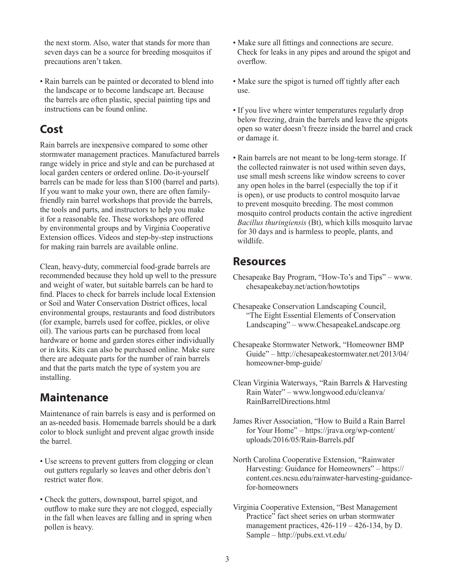the next storm. Also, water that stands for more than seven days can be a source for breeding mosquitos if precautions aren't taken.

• Rain barrels can be painted or decorated to blend into the landscape or to become landscape art. Because the barrels are often plastic, special painting tips and instructions can be found online.

### **Cost**

Rain barrels are inexpensive compared to some other stormwater management practices. Manufactured barrels range widely in price and style and can be purchased at local garden centers or ordered online. Do-it-yourself barrels can be made for less than \$100 (barrel and parts). If you want to make your own, there are often familyfriendly rain barrel workshops that provide the barrels, the tools and parts, and instructors to help you make it for a reasonable fee. These workshops are offered by environmental groups and by Virginia Cooperative Extension offices. Videos and step-by-step instructions for making rain barrels are available online.

Clean, heavy-duty, commercial food-grade barrels are recommended because they hold up well to the pressure and weight of water, but suitable barrels can be hard to find. Places to check for barrels include local Extension or Soil and Water Conservation District offices, local environmental groups, restaurants and food distributors (for example, barrels used for coffee, pickles, or olive oil). The various parts can be purchased from local hardware or home and garden stores either individually or in kits. Kits can also be purchased online. Make sure there are adequate parts for the number of rain barrels and that the parts match the type of system you are installing.

### **Maintenance**

Maintenance of rain barrels is easy and is performed on an as-needed basis. Homemade barrels should be a dark color to block sunlight and prevent algae growth inside the barrel.

- Use screens to prevent gutters from clogging or clean out gutters regularly so leaves and other debris don't restrict water flow.
- Check the gutters, downspout, barrel spigot, and outflow to make sure they are not clogged, especially in the fall when leaves are falling and in spring when pollen is heavy.
- Make sure all fittings and connections are secure. Check for leaks in any pipes and around the spigot and overflow.
- Make sure the spigot is turned off tightly after each use.
- If you live where winter temperatures regularly drop below freezing, drain the barrels and leave the spigots open so water doesn't freeze inside the barrel and crack or damage it.
- Rain barrels are not meant to be long-term storage. If the collected rainwater is not used within seven days, use small mesh screens like window screens to cover any open holes in the barrel (especially the top if it is open), or use products to control mosquito larvae to prevent mosquito breeding. The most common mosquito control products contain the active ingredient *Bacillus thuringiensis* (Bt), which kills mosquito larvae for 30 days and is harmless to people, plants, and wildlife.

### **Resources**

- Chesapeake Bay Program, "How-To's and Tips" www. chesapeakebay.net/action/howtotips
- Chesapeake Conservation Landscaping Council, "The Eight Essential Elements of Conservation Landscaping" – www.ChesapeakeLandscape.org
- Chesapeake Stormwater Network, "Homeowner BMP Guide" – http://chesapeakestormwater.net/2013/04/ homeowner-bmp-guide/
- Clean Virginia Waterways, "Rain Barrels & Harvesting Rain Water" – www.longwood.edu/cleanva/ RainBarrelDirections.html
- James River Association, "How to Build a Rain Barrel for Your Home" – https://jrava.org/wp-content/ uploads/2016/05/Rain-Barrels.pdf
- North Carolina Cooperative Extension, "Rainwater Harvesting: Guidance for Homeowners" – https:// content.ces.ncsu.edu/rainwater-harvesting-guidancefor-homeowners
- Virginia Cooperative Extension, "Best Management Practice" fact sheet series on urban stormwater management practices, 426-119 – 426-134, by D. Sample – http://pubs.ext.vt.edu/